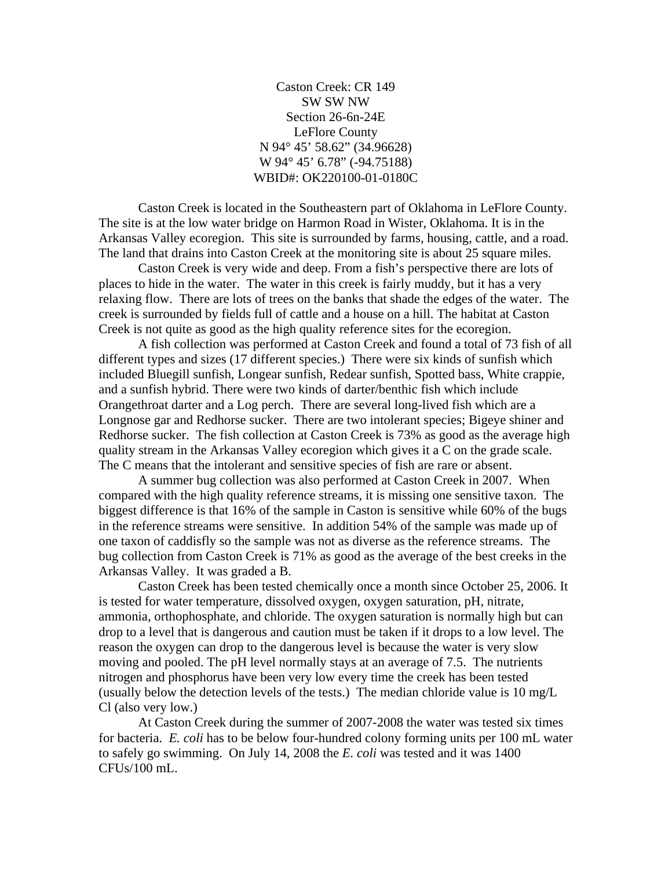Caston Creek: CR 149 SW SW NW Section 26-6n-24E LeFlore County N 94° 45' 58.62" (34.96628) W 94° 45' 6.78" (-94.75188) WBID#: OK220100-01-0180C

 Caston Creek is located in the Southeastern part of Oklahoma in LeFlore County. The site is at the low water bridge on Harmon Road in Wister, Oklahoma. It is in the Arkansas Valley ecoregion. This site is surrounded by farms, housing, cattle, and a road. The land that drains into Caston Creek at the monitoring site is about 25 square miles.

 Caston Creek is very wide and deep. From a fish's perspective there are lots of places to hide in the water. The water in this creek is fairly muddy, but it has a very relaxing flow. There are lots of trees on the banks that shade the edges of the water. The creek is surrounded by fields full of cattle and a house on a hill. The habitat at Caston Creek is not quite as good as the high quality reference sites for the ecoregion.

 A fish collection was performed at Caston Creek and found a total of 73 fish of all different types and sizes (17 different species.) There were six kinds of sunfish which included Bluegill sunfish, Longear sunfish, Redear sunfish, Spotted bass, White crappie, and a sunfish hybrid. There were two kinds of darter/benthic fish which include Orangethroat darter and a Log perch. There are several long-lived fish which are a Longnose gar and Redhorse sucker. There are two intolerant species; Bigeye shiner and Redhorse sucker. The fish collection at Caston Creek is 73% as good as the average high quality stream in the Arkansas Valley ecoregion which gives it a C on the grade scale. The C means that the intolerant and sensitive species of fish are rare or absent.

 A summer bug collection was also performed at Caston Creek in 2007. When compared with the high quality reference streams, it is missing one sensitive taxon. The biggest difference is that 16% of the sample in Caston is sensitive while 60% of the bugs in the reference streams were sensitive. In addition 54% of the sample was made up of one taxon of caddisfly so the sample was not as diverse as the reference streams. The bug collection from Caston Creek is 71% as good as the average of the best creeks in the Arkansas Valley. It was graded a B.

 Caston Creek has been tested chemically once a month since October 25, 2006. It is tested for water temperature, dissolved oxygen, oxygen saturation, pH, nitrate, ammonia, orthophosphate, and chloride. The oxygen saturation is normally high but can drop to a level that is dangerous and caution must be taken if it drops to a low level. The reason the oxygen can drop to the dangerous level is because the water is very slow moving and pooled. The pH level normally stays at an average of 7.5. The nutrients nitrogen and phosphorus have been very low every time the creek has been tested (usually below the detection levels of the tests.) The median chloride value is 10 mg/L Cl (also very low.)

 At Caston Creek during the summer of 2007-2008 the water was tested six times for bacteria. *E. coli* has to be below four-hundred colony forming units per 100 mL water to safely go swimming. On July 14, 2008 the *E. coli* was tested and it was 1400 CFUs/100 mL.